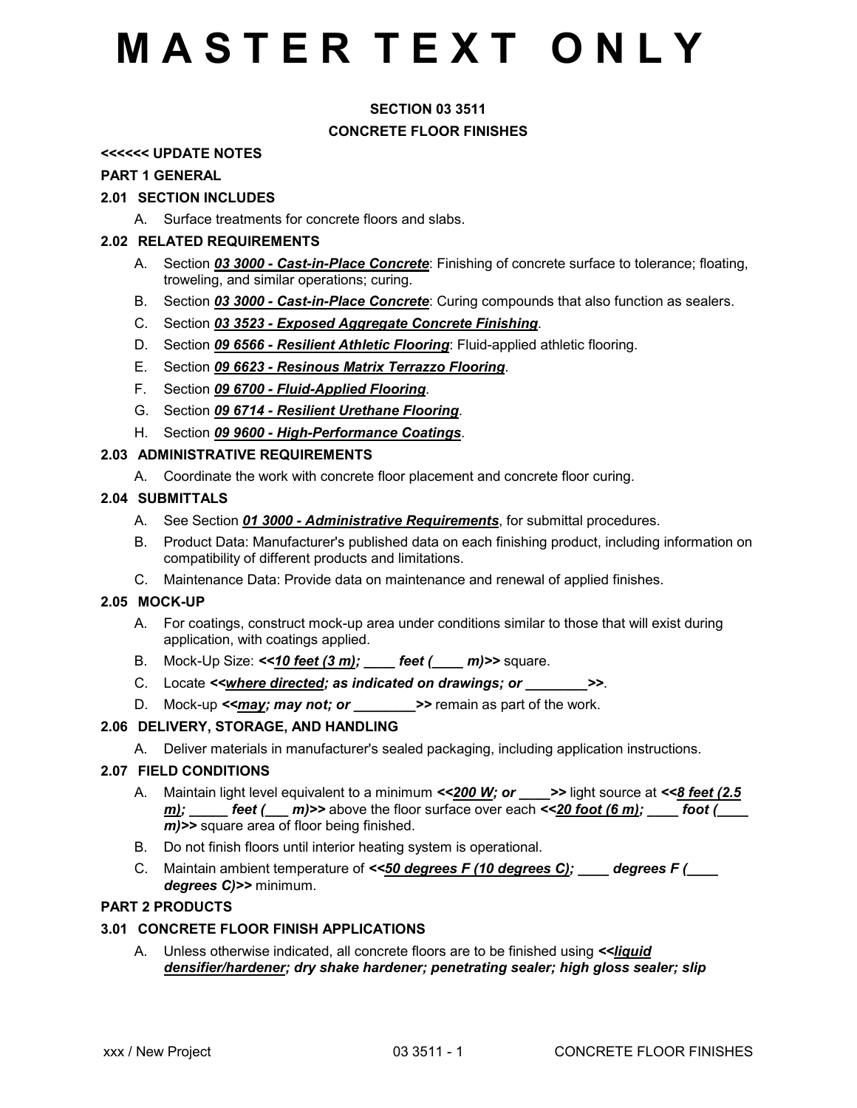## **SECTION 03 3511 CONCRETE FLOOR FINISHES**

### **<<<<<< UPDATE NOTES**

#### **PART 1 GENERAL**

### **2.01 SECTION INCLUDES**

A. Surface treatments for concrete floors and slabs.

### **2.02 RELATED REQUIREMENTS**

- A. Section *03 3000 Cast-in-Place Concrete*: Finishing of concrete surface to tolerance; floating, troweling, and similar operations; curing.
- B. Section *03 3000 Cast-in-Place Concrete*: Curing compounds that also function as sealers.
- C. Section *03 3523 Exposed Aggregate Concrete Finishing*.
- D. Section *09 6566 Resilient Athletic Flooring*: Fluid-applied athletic flooring.
- E. Section *09 6623 Resinous Matrix Terrazzo Flooring*.
- F. Section *09 6700 Fluid-Applied Flooring*.
- G. Section *09 6714 Resilient Urethane Flooring*.
- H. Section *09 9600 High-Performance Coatings*.

### **2.03 ADMINISTRATIVE REQUIREMENTS**

A. Coordinate the work with concrete floor placement and concrete floor curing.

### **2.04 SUBMITTALS**

- A. See Section *01 3000 Administrative Requirements*, for submittal procedures.
- B. Product Data: Manufacturer's published data on each finishing product, including information on compatibility of different products and limitations.
- C. Maintenance Data: Provide data on maintenance and renewal of applied finishes.

### **2.05 MOCK-UP**

- A. For coatings, construct mock-up area under conditions similar to those that will exist during application, with coatings applied.
- B. Mock-Up Size: *<<10 feet (3 m); \_\_\_\_ feet (\_\_\_\_ m)>>* square.
- C. Locate *<<where directed; as indicated on drawings; or \_\_\_\_\_\_\_\_>>*.
- D. Mock-up **<may; may not; or >>** remain as part of the work.

### **2.06 DELIVERY, STORAGE, AND HANDLING**

A. Deliver materials in manufacturer's sealed packaging, including application instructions.

### **2.07 FIELD CONDITIONS**

- A. Maintain light level equivalent to a minimum *<<200 W; or \_\_\_\_>>* light source at *<<8 feet (2.5 m);* feet (and  $m$ ) >> above the floor surface over each  $\leq$ 20 foot (6 m); foot ( *m)>>* square area of floor being finished.
- B. Do not finish floors until interior heating system is operational.
- C. Maintain ambient temperature of *<<50 degrees F (10 degrees C); \_\_\_\_ degrees F (\_\_\_\_ degrees C)>>* minimum.

### **PART 2 PRODUCTS**

### **3.01 CONCRETE FLOOR FINISH APPLICATIONS**

A. Unless otherwise indicated, all concrete floors are to be finished using *<<liquid densifier/hardener; dry shake hardener; penetrating sealer; high gloss sealer; slip*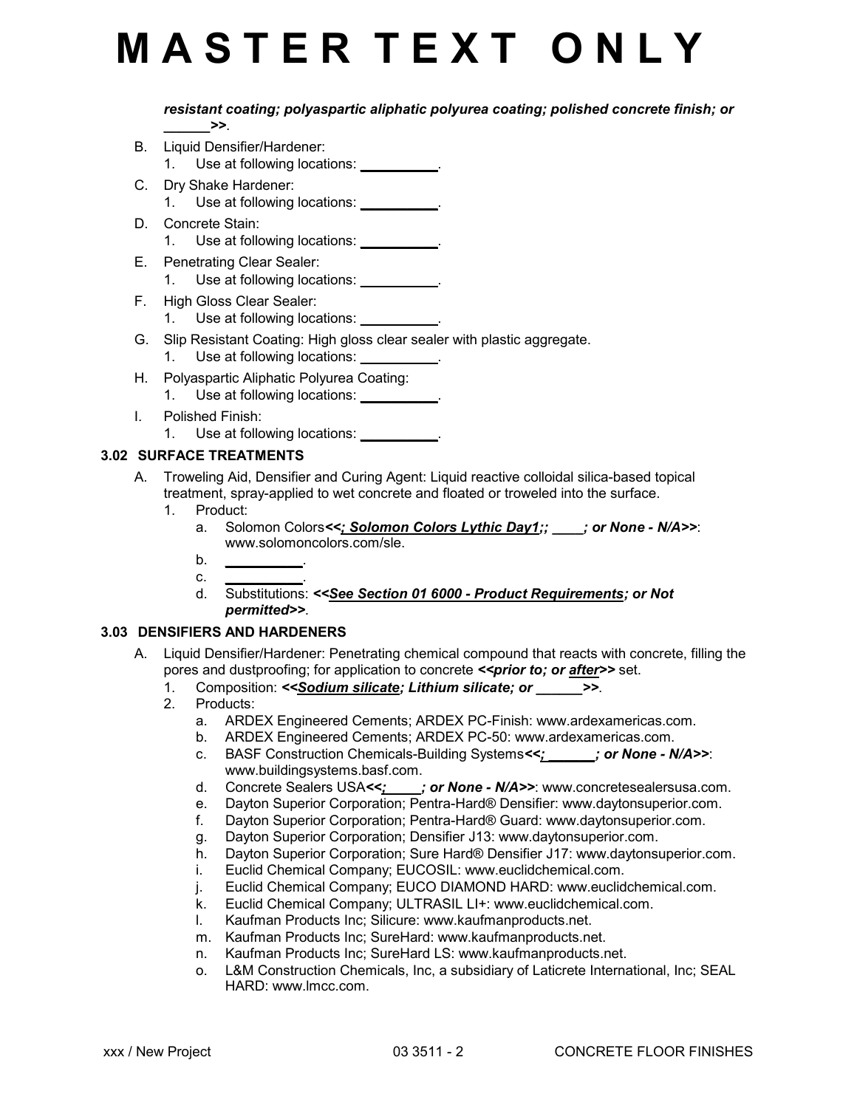*resistant coating; polyaspartic aliphatic polyurea coating; polished concrete finish; or \_\_\_\_\_\_>>*.

- B. Liquid Densifier/Hardener:
	- 1. Use at following locations: *\_\_\_\_\_\_\_\_\_\_*.
- C. Dry Shake Hardener:
	- 1. Use at following locations: *\_\_\_\_\_\_\_\_\_\_*.
- D. Concrete Stain:
	- 1. Use at following locations: *\_\_\_\_\_\_\_\_\_\_*.
- E. Penetrating Clear Sealer: 1. Use at following locations: *\_\_\_\_\_\_\_\_\_\_*.
	-
- F. High Gloss Clear Sealer:
	- 1. Use at following locations: *\_\_\_\_\_\_\_\_\_\_*.
- G. Slip Resistant Coating: High gloss clear sealer with plastic aggregate.
	- 1. Use at following locations: *\_\_\_\_\_\_\_\_\_\_*.
- H. Polyaspartic Aliphatic Polyurea Coating:
	- 1. Use at following locations: *\_\_\_\_\_\_\_\_\_\_*.
- I. Polished Finish: 1. Use at following locations: *\_\_\_\_\_\_\_\_\_\_*.

## **3.02 SURFACE TREATMENTS**

- A. Troweling Aid, Densifier and Curing Agent: Liquid reactive colloidal silica-based topical treatment, spray-applied to wet concrete and floated or troweled into the surface.
	- 1. Product:
		- a. Solomon Colors*<<; Solomon Colors Lythic Day1;; \_\_\_\_; or None N/A>>*: www.solomoncolors.com/sle.
		- b. *\_\_\_\_\_\_\_\_\_\_*.
		- c. *\_\_\_\_\_\_\_\_\_\_*. d. Substitutions: *<<See Section 01 6000 - Product Requirements; or Not permitted>>*.

## **3.03 DENSIFIERS AND HARDENERS**

- A. Liquid Densifier/Hardener: Penetrating chemical compound that reacts with concrete, filling the pores and dustproofing; for application to concrete *<< prior to; or after*>> set.
	- 1. Composition: *<<Sodium silicate; Lithium silicate; or \_\_\_\_\_\_>>*.
	- 2. Products:
		- a. ARDEX Engineered Cements; ARDEX PC-Finish: www.ardexamericas.com.
		- b. ARDEX Engineered Cements; ARDEX PC-50: www.ardexamericas.com.
		- c. BASF Construction Chemicals-Building Systems*<<; \_\_\_\_\_\_; or None N/A>>*: www.buildingsystems.basf.com.
		- d. Concrete Sealers USA<<;  $\cdot$  ; or None N/A>>: www.concretesealersusa.com.
		- e. Dayton Superior Corporation; Pentra-Hard® Densifier: www.daytonsuperior.com.
		- f. Dayton Superior Corporation; Pentra-Hard® Guard: www.daytonsuperior.com.
		- g. Dayton Superior Corporation; Densifier J13: www.daytonsuperior.com.
		- h. Dayton Superior Corporation; Sure Hard® Densifier J17: www.daytonsuperior.com.
		- i. Euclid Chemical Company; EUCOSIL: www.euclidchemical.com.
		- j. Euclid Chemical Company; EUCO DIAMOND HARD: www.euclidchemical.com.
		- k. Euclid Chemical Company; ULTRASIL LI+: www.euclidchemical.com.
		- l. Kaufman Products Inc; Silicure: www.kaufmanproducts.net.
		- m. Kaufman Products Inc; SureHard: www.kaufmanproducts.net.
		- n. Kaufman Products Inc; SureHard LS: www.kaufmanproducts.net.
		- o. L&M Construction Chemicals, Inc, a subsidiary of Laticrete International, Inc; SEAL HARD: www.lmcc.com.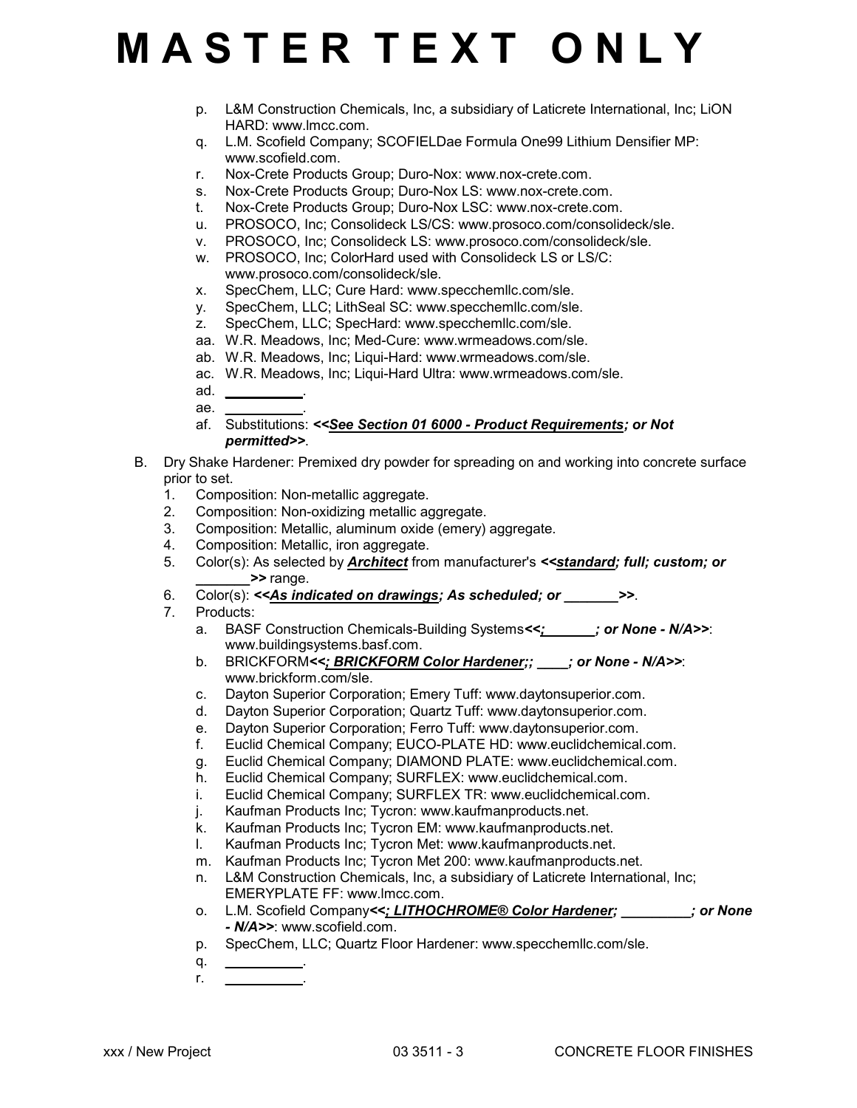- p. L&M Construction Chemicals, Inc, a subsidiary of Laticrete International, Inc; LiON HARD: www.lmcc.com.
- q. L.M. Scofield Company; SCOFIELDae Formula One99 Lithium Densifier MP: www.scofield.com.
- r. Nox-Crete Products Group; Duro-Nox: www.nox-crete.com.
- s. Nox-Crete Products Group; Duro-Nox LS: www.nox-crete.com.
- t. Nox-Crete Products Group; Duro-Nox LSC: www.nox-crete.com.
- u. PROSOCO, Inc; Consolideck LS/CS: www.prosoco.com/consolideck/sle.
- v. PROSOCO, Inc; Consolideck LS: www.prosoco.com/consolideck/sle.
- w. PROSOCO, Inc; ColorHard used with Consolideck LS or LS/C: www.prosoco.com/consolideck/sle.
- x. SpecChem, LLC; Cure Hard: www.specchemllc.com/sle.
- y. SpecChem, LLC; LithSeal SC: www.specchemllc.com/sle.
- z. SpecChem, LLC; SpecHard: www.specchemllc.com/sle.
- aa. W.R. Meadows, Inc; Med-Cure: www.wrmeadows.com/sle.
- ab. W.R. Meadows, Inc; Liqui-Hard: www.wrmeadows.com/sle.
- ac. W.R. Meadows, Inc; Liqui-Hard Ultra: www.wrmeadows.com/sle.
- ad. *\_\_\_\_\_\_\_\_\_\_*. ae. *\_\_\_\_\_\_\_\_\_\_*.
- af. Substitutions: *<<See Section 01 6000 Product Requirements; or Not permitted>>*.
- B. Dry Shake Hardener: Premixed dry powder for spreading on and working into concrete surface prior to set.
	- 1. Composition: Non-metallic aggregate.
	- 2. Composition: Non-oxidizing metallic aggregate.
	- 3. Composition: Metallic, aluminum oxide (emery) aggregate.
	- 4. Composition: Metallic, iron aggregate.
	- 5. Color(s): As selected by *Architect* from manufacturer's *<<standard; full; custom; or \_\_\_\_\_\_\_>>* range.
	- 6. Color(s): *<<As indicated on drawings; As scheduled; or \_\_\_\_\_\_\_>>*.
	- 7. Products:
		- a. BASF Construction Chemicals-Building Systems*<<; \_\_\_\_\_\_; or None N/A>>*: www.buildingsystems.basf.com.
		- b. BRICKFORM*<<; BRICKFORM Color Hardener;; \_\_\_\_; or None N/A>>*: www.brickform.com/sle.
		- c. Dayton Superior Corporation; Emery Tuff: www.daytonsuperior.com.
		- d. Dayton Superior Corporation; Quartz Tuff: www.daytonsuperior.com.
		- e. Dayton Superior Corporation; Ferro Tuff: www.daytonsuperior.com.
		- f. Euclid Chemical Company; EUCO-PLATE HD: www.euclidchemical.com.
		- g. Euclid Chemical Company; DIAMOND PLATE: www.euclidchemical.com.
		- h. Euclid Chemical Company; SURFLEX: www.euclidchemical.com.
		- i. Euclid Chemical Company; SURFLEX TR: www.euclidchemical.com.
		- j. Kaufman Products Inc; Tycron: www.kaufmanproducts.net.
		- k. Kaufman Products Inc; Tycron EM: www.kaufmanproducts.net.
		- l. Kaufman Products Inc; Tycron Met: www.kaufmanproducts.net.
		- m. Kaufman Products Inc; Tycron Met 200: www.kaufmanproducts.net.
		- n. L&M Construction Chemicals, Inc, a subsidiary of Laticrete International, Inc; EMERYPLATE FF: www.lmcc.com.
		- o. L.M. Scofield Company*<<; LITHOCHROME® Color Hardener; \_\_\_\_\_\_\_\_\_; or None - N/A>>*: www.scofield.com.
		- p. SpecChem, LLC; Quartz Floor Hardener: www.specchemllc.com/sle.
		- q. *\_\_\_\_\_\_\_\_\_\_*. r. *\_\_\_\_\_\_\_\_\_\_*.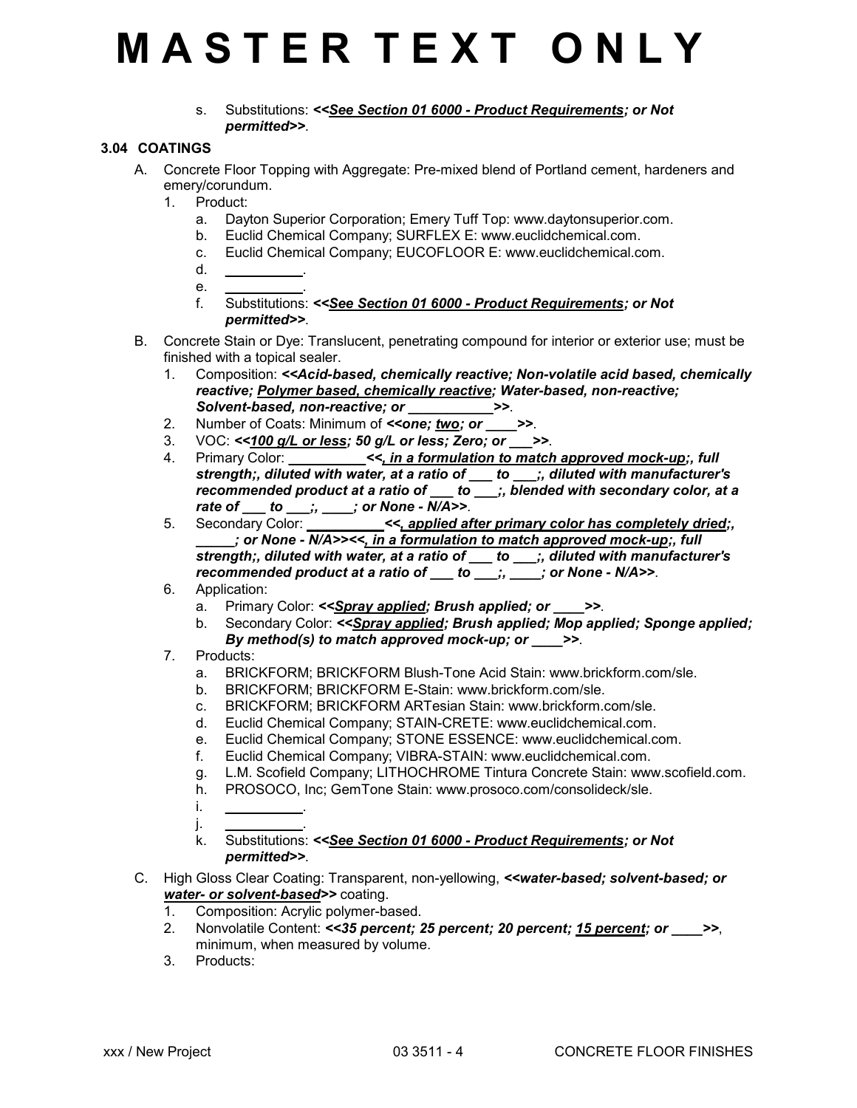s. Substitutions: *<<See Section 01 6000 - Product Requirements; or Not permitted>>*.

## **3.04 COATINGS**

- A. Concrete Floor Topping with Aggregate: Pre-mixed blend of Portland cement, hardeners and emery/corundum.
	- 1. Product:
		- a. Dayton Superior Corporation; Emery Tuff Top: www.daytonsuperior.com.
		- b. Euclid Chemical Company; SURFLEX E: www.euclidchemical.com.
		- c. Euclid Chemical Company; EUCOFLOOR E: www.euclidchemical.com.
		- d. *\_\_\_\_\_\_\_\_\_\_*.
		- e. *\_\_\_\_\_\_\_\_\_\_*.
		- f. Substitutions: *<<See Section 01 6000 Product Requirements; or Not permitted>>*.
- B. Concrete Stain or Dye: Translucent, penetrating compound for interior or exterior use; must be finished with a topical sealer.
	- 1. Composition: *<<Acid-based, chemically reactive; Non-volatile acid based, chemically reactive; Polymer based, chemically reactive; Water-based, non-reactive; Solvent-based, non-reactive; or \_\_\_\_\_\_\_\_\_\_\_>>*.
	- 2. Number of Coats: Minimum of *<<one; two; or* >>.
	- 3. VOC: *<<100 g/L or less; 50 g/L or less; Zero; or \_\_\_>>*.
	- 4. Primary Color: *z*  $<<$ , in a formulation to match approved mock-up;, full *strength;, diluted with water, at a ratio of \_\_\_ to \_\_\_;, diluted with manufacturer's recommended product at a ratio of \_\_\_ to \_\_\_;, blended with secondary color, at a rate of \_\_\_ to \_\_\_;, \_\_\_\_; or None - N/A>>*.
	- 5. Secondary Color: *\_\_\_\_\_\_\_\_\_\_<<, applied after primary color has completely dried;, \_\_\_\_\_; or None - N/A>><<, in a formulation to match approved mock-up;, full strength;, diluted with water, at a ratio of \_\_\_ to \_\_\_;, diluted with manufacturer's recommended product at a ratio of \_\_\_ to \_\_\_;, \_\_\_\_; or None - N/A>>*.
	- 6. Application:
		- a. Primary Color: *<<Spray applied; Brush applied; or \_\_\_\_>>*.
		- b. Secondary Color: *<<Spray applied; Brush applied; Mop applied; Sponge applied; By method(s) to match approved mock-up; or \_\_\_\_>>*.
	- 7. Products:
		- a. BRICKFORM; BRICKFORM Blush-Tone Acid Stain: www.brickform.com/sle.
		- b. BRICKFORM; BRICKFORM E-Stain: www.brickform.com/sle.
		- c. BRICKFORM; BRICKFORM ARTesian Stain: www.brickform.com/sle.
		- d. Euclid Chemical Company; STAIN-CRETE: www.euclidchemical.com.
		- e. Euclid Chemical Company; STONE ESSENCE: www.euclidchemical.com.
		- f. Euclid Chemical Company; VIBRA-STAIN: www.euclidchemical.com.
		- g. L.M. Scofield Company; LITHOCHROME Tintura Concrete Stain: www.scofield.com.
		- h. PROSOCO, Inc; GemTone Stain: www.prosoco.com/consolideck/sle.
		- i. *\_\_\_\_\_\_\_\_\_\_*. j. *\_\_\_\_\_\_\_\_\_\_*.

k. Substitutions: *<<See Section 01 6000 - Product Requirements; or Not permitted>>*.

- C. High Gloss Clear Coating: Transparent, non-yellowing, *<<water-based; solvent-based; or* water- or solvent-based>> coating.
	- 1. Composition: Acrylic polymer-based.
	- 2. Nonvolatile Content: *<<35 percent; 25 percent; 20 percent; 15 percent; or \_\_\_\_>>*, minimum, when measured by volume.
	- 3. Products: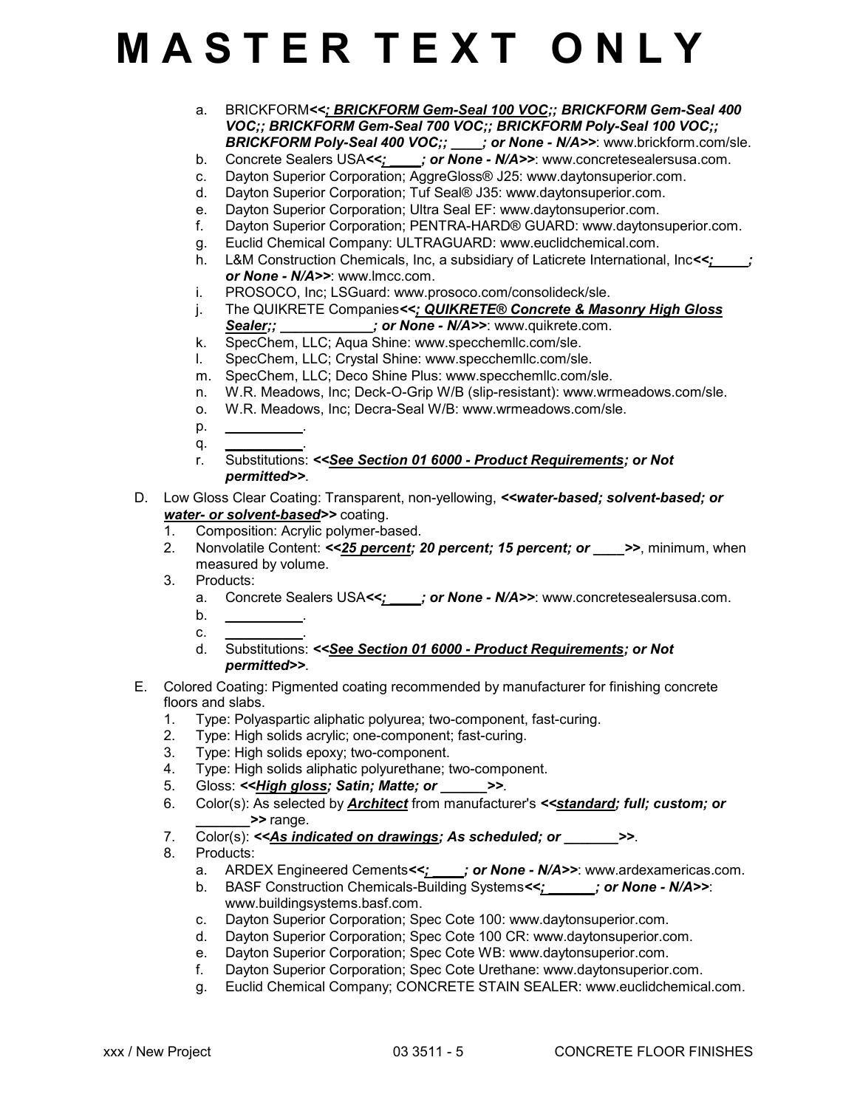- a. BRICKFORM*<<; BRICKFORM Gem-Seal 100 VOC;; BRICKFORM Gem-Seal 400 VOC;; BRICKFORM Gem-Seal 700 VOC;; BRICKFORM Poly-Seal 100 VOC;; BRICKFORM Poly-Seal 400 VOC;; \_\_\_\_; or None - N/A>>*: www.brickform.com/sle.
- b. Concrete Sealers USA*<<; \_\_\_\_; or None N/A>>*: www.concretesealersusa.com.
- c. Dayton Superior Corporation; AggreGloss® J25: www.daytonsuperior.com.
- d. Dayton Superior Corporation; Tuf Seal® J35: www.daytonsuperior.com.
- e. Dayton Superior Corporation; Ultra Seal EF: www.daytonsuperior.com.
- f. Dayton Superior Corporation; PENTRA-HARD® GUARD: www.daytonsuperior.com.
- g. Euclid Chemical Company: ULTRAGUARD: www.euclidchemical.com.
- h. L&M Construction Chemicals, Inc, a subsidiary of Laticrete International, Inc*<<; \_\_\_\_; or None - N/A>>*: www.lmcc.com.
- i. PROSOCO, Inc; LSGuard: www.prosoco.com/consolideck/sle.
- j. The QUIKRETE Companies*<<; QUIKRETE® Concrete & Masonry High Gloss* Sealer;;  $\qquad \qquad ;$  or None - N/A>>: www.quikrete.com.
- k. SpecChem, LLC; Aqua Shine: www.specchemllc.com/sle.
- l. SpecChem, LLC; Crystal Shine: www.specchemllc.com/sle.
- m. SpecChem, LLC; Deco Shine Plus: www.specchemllc.com/sle.
- n. W.R. Meadows, Inc; Deck-O-Grip W/B (slip-resistant): www.wrmeadows.com/sle.
- o. W.R. Meadows, Inc; Decra-Seal W/B: www.wrmeadows.com/sle.
- p. *\_\_\_\_\_\_\_\_\_\_*.
- q. *\_\_\_\_\_\_\_\_\_\_*. r. Substitutions: *<<See Section 01 6000 - Product Requirements; or Not permitted>>*.
- D. Low Gloss Clear Coating: Transparent, non-yellowing, *<<water-based; solvent-based; or water- or solvent-based>>* coating.
	- 1. Composition: Acrylic polymer-based.
	- 2. Nonvolatile Content: <<25 percent; 20 percent; 15 percent; or >>, minimum, when measured by volume.
	- 3. Products:
		- a. Concrete Sealers USA<<;  $\cdot$  ; or None N/A>>: www.concretesealersusa.com.
		- b. *\_\_\_\_\_\_\_\_\_\_*.
		- c. *\_\_\_\_\_\_\_\_\_\_*.
		- d. Substitutions: *<<See Section 01 6000 Product Requirements; or Not permitted>>*.
- E. Colored Coating: Pigmented coating recommended by manufacturer for finishing concrete floors and slabs.
	- 1. Type: Polyaspartic aliphatic polyurea; two-component, fast-curing.
	- 2. Type: High solids acrylic; one-component; fast-curing.<br>3. Type: High solids epoxy: two-component.
	- Type: High solids epoxy; two-component.
	- 4. Type: High solids aliphatic polyurethane; two-component.
	- 5. Gloss: *<<High gloss; Satin; Matte; or \_\_\_\_\_\_>>*.
	- 6. Color(s): As selected by *Architect* from manufacturer's *<<standard; full; custom; or \_\_\_\_\_\_\_>>* range.
	- 7. Color(s): << As indicated on drawings; As scheduled; or  $\rightarrow$
	- 8. Products:
		- a. ARDEX Engineered Cements*<<; \_\_\_\_; or None N/A>>*: www.ardexamericas.com.
		- b. BASF Construction Chemicals-Building Systems*<<; \_\_\_\_\_\_; or None N/A>>*: www.buildingsystems.basf.com.
		- c. Dayton Superior Corporation; Spec Cote 100: www.daytonsuperior.com.
		- d. Dayton Superior Corporation; Spec Cote 100 CR: www.daytonsuperior.com.
		- e. Dayton Superior Corporation; Spec Cote WB: www.daytonsuperior.com.
		- f. Dayton Superior Corporation; Spec Cote Urethane: www.daytonsuperior.com.
		- g. Euclid Chemical Company; CONCRETE STAIN SEALER: www.euclidchemical.com.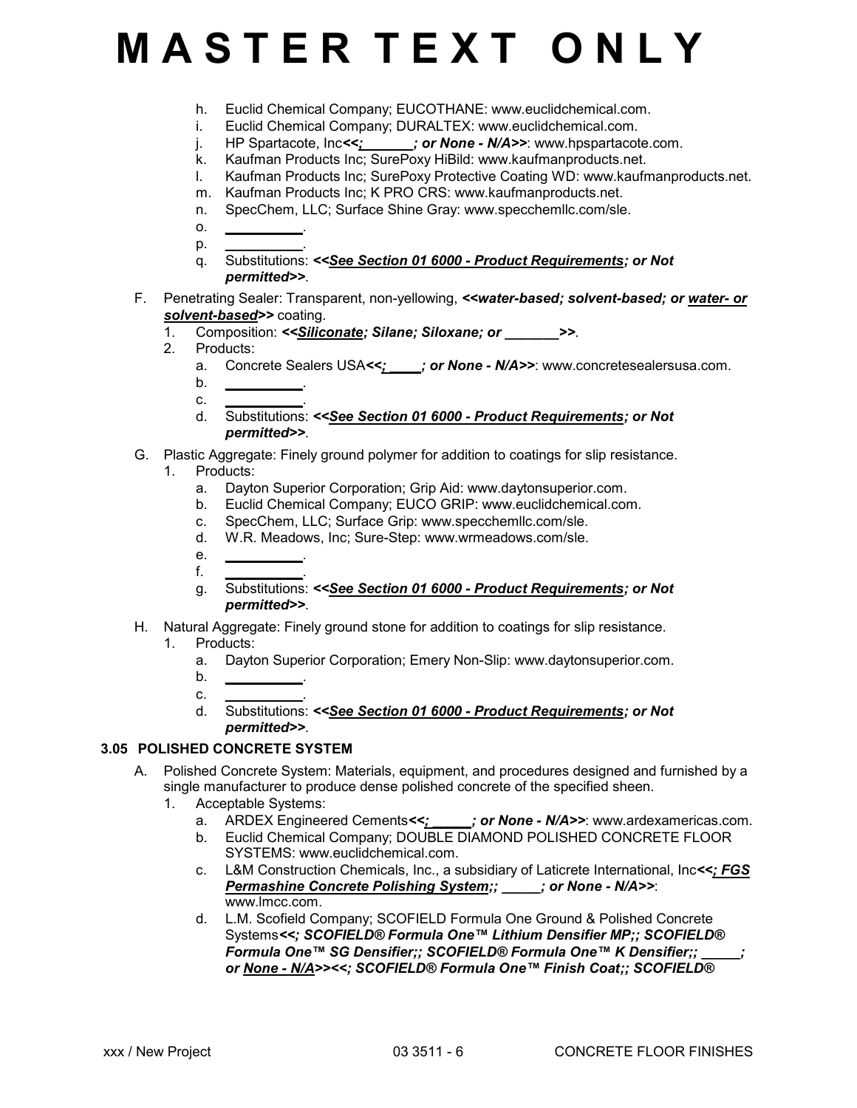- h. Euclid Chemical Company; EUCOTHANE: www.euclidchemical.com.
- i. Euclid Chemical Company; DURALTEX: www.euclidchemical.com.
- j. HP Spartacote, Inc<<<u>; jor None N/A>>:</u> www.hpspartacote.com.
- k. Kaufman Products Inc; SurePoxy HiBild: www.kaufmanproducts.net.
- l. Kaufman Products Inc; SurePoxy Protective Coating WD: www.kaufmanproducts.net.
- m. Kaufman Products Inc; K PRO CRS: www.kaufmanproducts.net.
- n. SpecChem, LLC; Surface Shine Gray: www.specchemllc.com/sle.
- o. *\_\_\_\_\_\_\_\_\_\_*. p. *\_\_\_\_\_\_\_\_\_\_*.
- q. Substitutions: *<<See Section 01 6000 Product Requirements; or Not permitted>>*.
- F. Penetrating Sealer: Transparent, non-yellowing, *<<water-based; solvent-based; or water- or solvent-based>>* coating.
	- 1. Composition: *<<Siliconate; Silane; Siloxane; or \_\_\_\_\_\_\_>>*.
	- 2. Products:
		- a. Concrete Sealers USA<<;  $\therefore$  or None N/A>>: www.concretesealersusa.com.
		- $\mathbf b$
		- c. *\_\_\_\_\_\_\_\_\_\_*. d. Substitutions: *<<See Section 01 6000 - Product Requirements; or Not permitted>>*.
- G. Plastic Aggregate: Finely ground polymer for addition to coatings for slip resistance.
	- 1. Products:
		- a. Dayton Superior Corporation; Grip Aid: www.daytonsuperior.com.
		- b. Euclid Chemical Company; EUCO GRIP: www.euclidchemical.com.
		- c. SpecChem, LLC; Surface Grip: www.specchemllc.com/sle.
		- d. W.R. Meadows, Inc; Sure-Step: www.wrmeadows.com/sle.
		- e. *\_\_\_\_\_\_\_\_\_\_*. f. *\_\_\_\_\_\_\_\_\_\_*.
		- g. Substitutions: *<<See Section 01 6000 Product Requirements; or Not permitted>>*.
- H. Natural Aggregate: Finely ground stone for addition to coatings for slip resistance. 1. Products:
	- a. Dayton Superior Corporation; Emery Non-Slip: www.daytonsuperior.com.
	- b. *\_\_\_\_\_\_\_\_\_\_*.
	- c. *\_\_\_\_\_\_\_\_\_\_*. d. Substitutions: *<<See Section 01 6000 - Product Requirements; or Not permitted>>*.

## **3.05 POLISHED CONCRETE SYSTEM**

- A. Polished Concrete System: Materials, equipment, and procedures designed and furnished by a single manufacturer to produce dense polished concrete of the specified sheen.
	- 1. Acceptable Systems:
		- a. ARDEX Engineered Cements<>>  $\frac{y}{x}$  or None N/A>>: www.ardexamericas.com.
		- b. Euclid Chemical Company; DOUBLE DIAMOND POLISHED CONCRETE FLOOR SYSTEMS: www.euclidchemical.com.
		- c. L&M Construction Chemicals, Inc., a subsidiary of Laticrete International, Inc*<<; FGS Permashine Concrete Polishing System;; \_\_\_\_\_; or None - N/A>>*: www.lmcc.com.
		- d. L.M. Scofield Company; SCOFIELD Formula One Ground & Polished Concrete Systems*<<; SCOFIELD® Formula One™ Lithium Densifier MP;; SCOFIELD® Formula One™ SG Densifier;; SCOFIELD® Formula One™ K Densifier;; \_\_\_\_\_; or None - N/A>><<; SCOFIELD® Formula One™ Finish Coat;; SCOFIELD®*